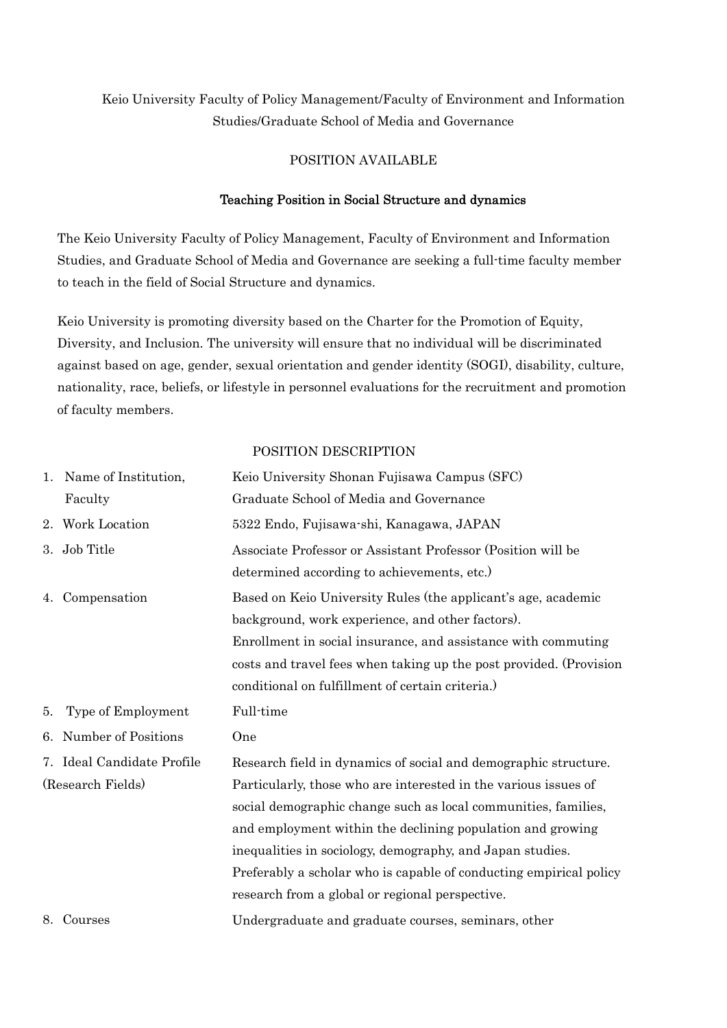# Keio University Faculty of Policy Management/Faculty of Environment and Information Studies/Graduate School of Media and Governance

#### POSITION AVAILABLE

### Teaching Position in Social Structure and dynamics

The Keio University Faculty of Policy Management, Faculty of Environment and Information Studies, and Graduate School of Media and Governance are seeking a full-time faculty member to teach in the field of Social Structure and dynamics.

Keio University is promoting diversity based on the Charter for the Promotion of Equity, Diversity, and Inclusion. The university will ensure that no individual will be discriminated against based on age, gender, sexual orientation and gender identity (SOGI), disability, culture, nationality, race, beliefs, or lifestyle in personnel evaluations for the recruitment and promotion of faculty members.

#### POSITION DESCRIPTION

|    | 1. Name of Institution,    | Keio University Shonan Fujisawa Campus (SFC)                                                                                                                                                                                                                                                                                                                                          |
|----|----------------------------|---------------------------------------------------------------------------------------------------------------------------------------------------------------------------------------------------------------------------------------------------------------------------------------------------------------------------------------------------------------------------------------|
|    | Faculty                    | Graduate School of Media and Governance                                                                                                                                                                                                                                                                                                                                               |
|    | 2. Work Location           | 5322 Endo, Fujisawa-shi, Kanagawa, JAPAN                                                                                                                                                                                                                                                                                                                                              |
| 3. | Job Title                  | Associate Professor or Assistant Professor (Position will be<br>determined according to achievements, etc.)                                                                                                                                                                                                                                                                           |
| 4. | Compensation               | Based on Keio University Rules (the applicant's age, academic<br>background, work experience, and other factors).<br>Enrollment in social insurance, and assistance with commuting<br>costs and travel fees when taking up the post provided. (Provision<br>conditional on fulfillment of certain criteria.)                                                                          |
|    |                            |                                                                                                                                                                                                                                                                                                                                                                                       |
| 5. | Type of Employment         | Full-time                                                                                                                                                                                                                                                                                                                                                                             |
| 6. | Number of Positions        | One                                                                                                                                                                                                                                                                                                                                                                                   |
|    | 7. Ideal Candidate Profile | Research field in dynamics of social and demographic structure.                                                                                                                                                                                                                                                                                                                       |
|    | (Research Fields)          | Particularly, those who are interested in the various issues of<br>social demographic change such as local communities, families,<br>and employment within the declining population and growing<br>inequalities in sociology, demography, and Japan studies.<br>Preferably a scholar who is capable of conducting empirical policy<br>research from a global or regional perspective. |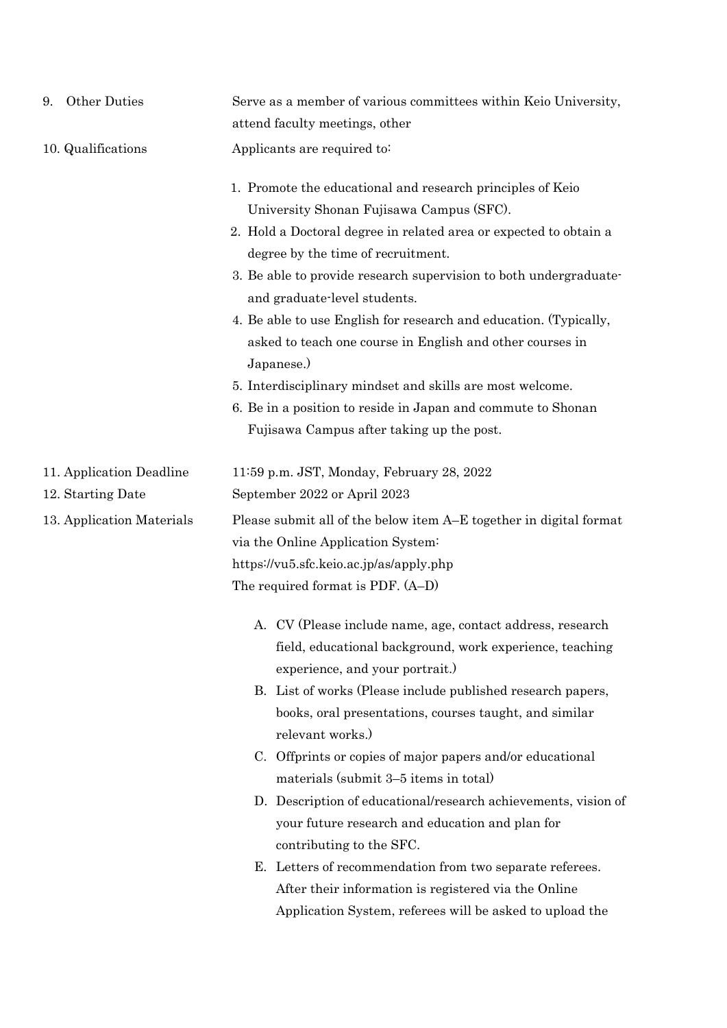| Other Duties<br>9.                            | Serve as a member of various committees within Keio University,<br>attend faculty meetings, other                                                                                                                                                                                                                                                                                                                                                                                                                                                                                                                                                                                                                                             |
|-----------------------------------------------|-----------------------------------------------------------------------------------------------------------------------------------------------------------------------------------------------------------------------------------------------------------------------------------------------------------------------------------------------------------------------------------------------------------------------------------------------------------------------------------------------------------------------------------------------------------------------------------------------------------------------------------------------------------------------------------------------------------------------------------------------|
| 10. Qualifications                            | Applicants are required to:                                                                                                                                                                                                                                                                                                                                                                                                                                                                                                                                                                                                                                                                                                                   |
|                                               | 1. Promote the educational and research principles of Keio<br>University Shonan Fujisawa Campus (SFC).<br>2. Hold a Doctoral degree in related area or expected to obtain a<br>degree by the time of recruitment.<br>3. Be able to provide research supervision to both undergraduate-<br>and graduate-level students.<br>4. Be able to use English for research and education. (Typically,<br>asked to teach one course in English and other courses in<br>Japanese.)<br>5. Interdisciplinary mindset and skills are most welcome.<br>6. Be in a position to reside in Japan and commute to Shonan<br>Fujisawa Campus after taking up the post.                                                                                              |
| 11. Application Deadline<br>12. Starting Date | 11:59 p.m. JST, Monday, February 28, 2022<br>September 2022 or April 2023                                                                                                                                                                                                                                                                                                                                                                                                                                                                                                                                                                                                                                                                     |
| 13. Application Materials                     | Please submit all of the below item A–E together in digital format<br>via the Online Application System:<br>https://vu5.sfc.keio.ac.jp/as/apply.php<br>The required format is PDF. (A-D)                                                                                                                                                                                                                                                                                                                                                                                                                                                                                                                                                      |
|                                               | A. CV (Please include name, age, contact address, research<br>field, educational background, work experience, teaching<br>experience, and your portrait.)<br>B. List of works (Please include published research papers,<br>books, oral presentations, courses taught, and similar<br>relevant works.)<br>C. Offprints or copies of major papers and/or educational<br>materials (submit 3–5 items in total)<br>D. Description of educational/research achievements, vision of<br>your future research and education and plan for<br>contributing to the SFC.<br>E. Letters of recommendation from two separate referees.<br>After their information is registered via the Online<br>Application System, referees will be asked to upload the |